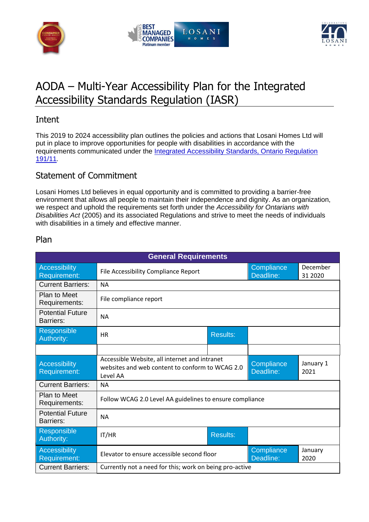





# AODA – Multi-Year Accessibility Plan for the Integrated Accessibility Standards Regulation (IASR)

### Intent

This 2019 to 2024 accessibility plan outlines the policies and actions that Losani Homes Ltd will put in place to improve opportunities for people with disabilities in accordance with the requirements communicated under the Integrated Accessibility Standards, Ontario Regulation [191/11](http://www.e-laws.gov.on.ca/html/regs/english/elaws_regs_110191_e.htm)*.*

#### Statement of Commitment

Losani Homes Ltd believes in equal opportunity and is committed to providing a barrier-free environment that allows all people to maintain their independence and dignity. As an organization, we respect and uphold the requirements set forth under the *Accessibility for Ontarians with Disabilities Act* (2005) and its associated Regulations and strive to meet the needs of individuals with disabilities in a timely and effective manner.

| <b>General Requirements</b>                 |                                                                                                              |                 |                         |                     |  |  |  |
|---------------------------------------------|--------------------------------------------------------------------------------------------------------------|-----------------|-------------------------|---------------------|--|--|--|
| Accessibility<br>Requirement:               | File Accessibility Compliance Report                                                                         |                 | Compliance<br>Deadline: | December<br>31 2020 |  |  |  |
| <b>Current Barriers:</b>                    | <b>NA</b>                                                                                                    |                 |                         |                     |  |  |  |
| Plan to Meet<br>Requirements:               | File compliance report                                                                                       |                 |                         |                     |  |  |  |
| <b>Potential Future</b><br>Barriers:        | <b>NA</b>                                                                                                    |                 |                         |                     |  |  |  |
| Responsible<br>Authority:                   | <b>HR</b>                                                                                                    | <b>Results:</b> |                         |                     |  |  |  |
|                                             |                                                                                                              |                 |                         |                     |  |  |  |
| <b>Accessibility</b><br><b>Requirement:</b> | Accessible Website, all internet and intranet<br>websites and web content to conform to WCAG 2.0<br>Level AA |                 | Compliance<br>Deadline: | January 1<br>2021   |  |  |  |
| <b>Current Barriers:</b>                    | <b>NA</b>                                                                                                    |                 |                         |                     |  |  |  |
| Plan to Meet<br>Requirements:               | Follow WCAG 2.0 Level AA guidelines to ensure compliance                                                     |                 |                         |                     |  |  |  |
| <b>Potential Future</b><br><b>Barriers:</b> | <b>NA</b>                                                                                                    |                 |                         |                     |  |  |  |
| Responsible<br>Authority:                   | IT/HR                                                                                                        | <b>Results:</b> |                         |                     |  |  |  |
| Accessibility<br>Requirement:               | Elevator to ensure accessible second floor                                                                   |                 | Compliance<br>Deadline: | January<br>2020     |  |  |  |
| <b>Current Barriers:</b>                    | Currently not a need for this; work on being pro-active                                                      |                 |                         |                     |  |  |  |

#### Plan